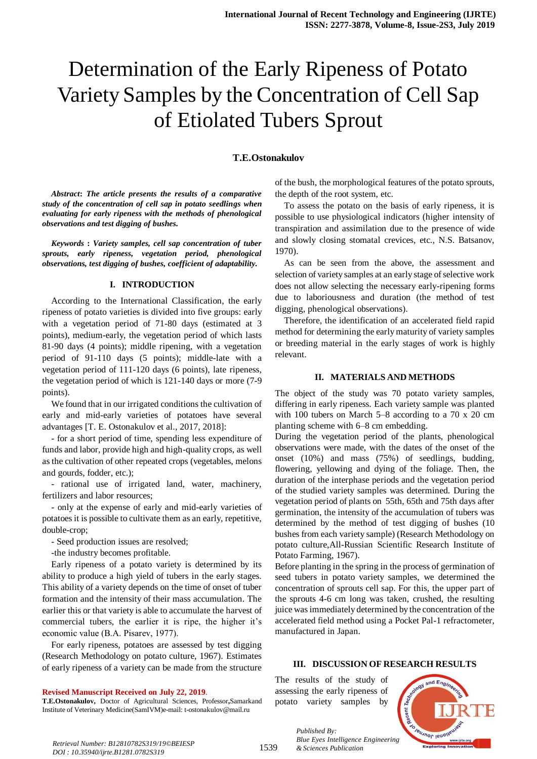# Determination of the Early Ripeness of Potato Variety Samples by the Concentration of Cell Sap of Etiolated Tubers Sprout

#### **T.E.Ostonakulov**

*Abstract***:** *The article presents the results of a comparative study of the concentration of cell sap in potato seedlings when evaluating for early ripeness with the methods of phenological observations and test digging of bushes.*

*Keywords* **:** *Variety samples, cell sap concentration of tuber sprouts, early ripeness, vegetation period, phenological observations, test digging of bushes, coefficient of adaptability.*

#### **I. INTRODUCTION**

According to the International Classification, the early ripeness of potato varieties is divided into five groups: early with a vegetation period of 71-80 days (estimated at 3 points), medium-early, the vegetation period of which lasts 81-90 days (4 points); middle ripening, with a vegetation period of 91-110 days (5 points); middle-late with a vegetation period of 111-120 days (6 points), late ripeness, the vegetation period of which is 121-140 days or more (7-9 points).

We found that in our irrigated conditions the cultivation of early and mid-early varieties of potatoes have several advantages [T. E. Ostonakulov et al., 2017, 2018]:

- for a short period of time, spending less expenditure of funds and labor, provide high and high-quality crops, as well as the cultivation of other repeated crops (vegetables, melons and gourds, fodder, etc.);

- rational use of irrigated land, water, machinery, fertilizers and labor resources;

- only at the expense of early and mid-early varieties of potatoes it is possible to cultivate them as an early, repetitive, double-crop;

- Seed production issues are resolved;

-the industry becomes profitable.

Early ripeness of a potato variety is determined by its ability to produce a high yield of tubers in the early stages. This ability of a variety depends on the time of onset of tuber formation and the intensity of their mass accumulation. The earlier this or that variety is able to accumulate the harvest of commercial tubers, the earlier it is ripe, the higher it's economic value (B.А. Pisarev, 1977).

For early ripeness, potatoes are assessed by test digging (Research Methodology on potato culture, 1967). Estimates of early ripeness of a variety can be made from the structure

**Revised Manuscript Received on July 22, 2019**.

**T.E.Ostonakulov,** Doctor of Agricultural Sciences, Professor**,**Samarkand Institute of Veterinary Medicine(SamIVM)e-mail: t-ostonakulov@mail.ru

of the bush, the morphological features of the potato sprouts, the depth of the root system, etc.

To assess the potato on the basis of early ripeness, it is possible to use physiological indicators (higher intensity of transpiration and assimilation due to the presence of wide and slowly closing stomatal crevices, etc., N.S. Batsanov, 1970).

As can be seen from the above, the assessment and selection of variety samples at an early stage of selective work does not allow selecting the necessary early-ripening forms due to laboriousness and duration (the method of test digging, phenological observations).

Therefore, the identification of an accelerated field rapid method for determining the early maturity of variety samples or breeding material in the early stages of work is highly relevant.

#### **II. MATERIALS AND METHODS**

The object of the study was 70 potato variety samples, differing in early ripeness. Each variety sample was planted with 100 tubers on March 5–8 according to a 70 x 20 cm planting scheme with 6–8 cm embedding.

During the vegetation period of the plants, phenological observations were made, with the dates of the onset of the onset (10%) and mass (75%) of seedlings, budding, flowering, yellowing and dying of the foliage. Then, the duration of the interphase periods and the vegetation period of the studied variety samples was determined. During the vegetation period of plants on 55th, 65th and 75th days after germination, the intensity of the accumulation of tubers was determined by the method of test digging of bushes (10 bushes from each variety sample) (Research Methodology on potato culture,All-Russian Scientific Research Institute of Potato Farming, 1967).

Before planting in the spring in the process of germination of seed tubers in potato variety samples, we determined the concentration of sprouts cell sap. For this, the upper part of the sprouts 4-6 cm long was taken, crushed, the resulting juice was immediately determined by the concentration of the accelerated field method using a Pocket Pal-1 refractometer, manufactured in Japan.

#### **III. DISCUSSION OF RESEARCH RESULTS**

The results of the study of assessing the early ripeness of potato variety samples by

*Published By:*



*Blue Eyes Intelligence*<br>*Retrieval Number: B12810782S319/19©BEIESP*<br>**1539** *& Sciences Publication DOI : 10.35940/ijrte.B1281.0782S319*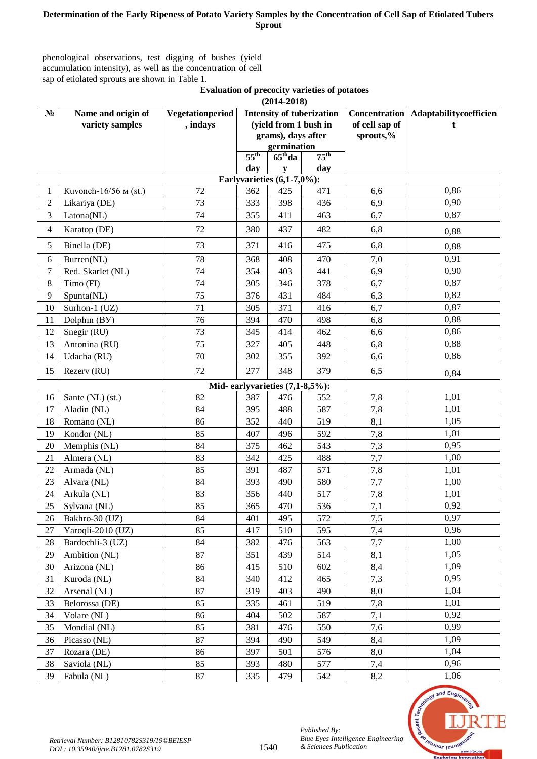## **Determination of the Early Ripeness of Potato Variety Samples by the Concentration of Cell Sap of Etiolated Tubers Sprout**

phenological observations, test digging of bushes (yield accumulation intensity), as well as the concentration of cell sap of etiolated sprouts are shown in Table 1.

> **Evaluation of precocity varieties of potatoes (2014-2018)**

|                                | $(2014 - 2010)$                |                  |                                  |              |                  |                      |                        |  |  |  |  |  |  |
|--------------------------------|--------------------------------|------------------|----------------------------------|--------------|------------------|----------------------|------------------------|--|--|--|--|--|--|
| $N_2$                          | Name and origin of             | Vegetationperiod | <b>Intensity of tuberization</b> |              |                  | <b>Concentration</b> | Adaptabilitycoefficien |  |  |  |  |  |  |
|                                | variety samples                | , indays         | (yield from 1 bush in            |              |                  | of cell sap of       | t                      |  |  |  |  |  |  |
|                                |                                |                  | grams), days after               |              |                  | sprouts,%            |                        |  |  |  |  |  |  |
|                                |                                |                  | germination                      |              |                  |                      |                        |  |  |  |  |  |  |
|                                |                                |                  | $55^{\text{th}}$                 | $65th$ da    | $75^{\text{th}}$ |                      |                        |  |  |  |  |  |  |
|                                |                                |                  | day                              | $\mathbf{v}$ | day              |                      |                        |  |  |  |  |  |  |
| Earlyvarieties $(6,1-7,0\%)$ : |                                |                  |                                  |              |                  |                      |                        |  |  |  |  |  |  |
| 1                              | Kuvonch-16/56 м (st.)          | 72               | 362                              | 425          | 471              | 6,6                  | 0,86                   |  |  |  |  |  |  |
| $\overline{2}$                 | Likariya (DE)                  | 73               | 333                              | 398          | 436              | 6,9                  | 0,90                   |  |  |  |  |  |  |
| 3                              | Latona(NL)                     | 74               | 355                              | 411          | 463              | 6,7                  | 0,87                   |  |  |  |  |  |  |
| $\overline{4}$                 | Karatop (DE)                   | 72               | 380                              | 437          | 482              | 6,8                  | 0,88                   |  |  |  |  |  |  |
| 5                              | Binella (DE)                   | 73               | 371                              | 416          | 475              | 6,8                  | 0,88                   |  |  |  |  |  |  |
| 6                              | Burren(NL)                     | 78               | 368                              | 408          | 470              | 7,0                  | 0,91                   |  |  |  |  |  |  |
| 7                              | Red. Skarlet (NL)              | 74               | 354                              | 403          | 441              | 6,9                  | 0,90                   |  |  |  |  |  |  |
| 8                              | Timo (FI)                      | 74               | 305                              | 346          | 378              | 6,7                  | 0,87                   |  |  |  |  |  |  |
| 9                              | Spunta(NL)                     | 75               | 376                              | 431          | 484              | 6,3                  | 0,82                   |  |  |  |  |  |  |
| 10                             | Surhon-1 (UZ)                  | 71               | 305                              | 371          | 416              | 6,7                  | 0,87                   |  |  |  |  |  |  |
| 11                             | Dolphin (BY)                   | 76               | 394                              | 470          | 498              | 6,8                  | 0,88                   |  |  |  |  |  |  |
| 12                             | Snegir (RU)                    | 73               | 345                              | 414          | 462              | 6,6                  | 0,86                   |  |  |  |  |  |  |
| 13                             | Antonina (RU)                  | 75               | 327                              | 405          | 448              | 6,8                  | 0,88                   |  |  |  |  |  |  |
| 14                             | Udacha (RU)                    | 70               | 302                              | 355          | 392              | 6,6                  | 0,86                   |  |  |  |  |  |  |
| 15                             | Rezerv (RU)                    | 72               | 277                              | 348          | 379              | 6,5                  | 0,84                   |  |  |  |  |  |  |
|                                | Mid-earlyvarieties (7,1-8,5%): |                  |                                  |              |                  |                      |                        |  |  |  |  |  |  |
| 16                             | Sante (NL) (st.)               | 82               | 387                              | 476          | 552              | 7,8                  | 1,01                   |  |  |  |  |  |  |
| 17                             | Aladin (NL)                    | 84               | 395                              | 488          | 587              | 7,8                  | 1,01                   |  |  |  |  |  |  |
| 18                             | Romano (NL)                    | 86               | 352                              | 440          | 519              | 8,1                  | 1,05                   |  |  |  |  |  |  |
| 19                             | Kondor (NL)                    | 85               | 407                              | 496          | 592              | 7,8                  | 1,01                   |  |  |  |  |  |  |
| 20                             | Memphis (NL)                   | 84               | 375                              | 462          | 543              | 7,3                  | 0,95                   |  |  |  |  |  |  |
| 21                             | Almera (NL)                    | 83               | 342                              | 425          | 488              | 7,7                  | 1,00                   |  |  |  |  |  |  |
| 22                             | Armada (NL)                    | 85               | 391                              | 487          | 571              | 7,8                  | 1,01                   |  |  |  |  |  |  |
| 23                             | Alvara (NL)                    | 84               | 393                              | 490          | 580              | 7,7                  | 1,00                   |  |  |  |  |  |  |
| 24                             | Arkula (NL)                    | 83               | 356                              | 440          | 517              | 7,8                  | 1,01                   |  |  |  |  |  |  |
| 25                             | Sylvana (NL)                   | 85               | 365                              | 470          | 536              | 7,1                  | 0,92                   |  |  |  |  |  |  |
| 26                             | Bakhro-30 (UZ)                 | 84               | 401                              | 495          | 572              | 7,5                  | 0,97                   |  |  |  |  |  |  |
| 27                             | Yaroqli-2010 (UZ)              | 85               | 417                              | 510          | 595              | 7,4                  | 0,96                   |  |  |  |  |  |  |
| 28                             | Bardochli-3 (UZ)               | 84               | 382                              | 476          | 563              | 7,7                  | 1,00                   |  |  |  |  |  |  |
| 29                             | Ambition (NL)                  | 87               | 351                              | 439          | 514              | 8,1                  | 1,05                   |  |  |  |  |  |  |
| 30                             | Arizona (NL)                   | 86               | 415                              | 510          | 602              | 8,4                  | 1,09                   |  |  |  |  |  |  |
| 31                             | Kuroda (NL)                    | 84               | 340                              | 412          | 465              | 7,3                  | 0,95                   |  |  |  |  |  |  |
| 32                             | Arsenal (NL)                   | 87               | 319                              | 403          | 490              | 8,0                  | 1,04                   |  |  |  |  |  |  |
| 33                             | Belorossa (DE)                 | 85               | 335                              | 461          | 519              | 7,8                  | 1,01                   |  |  |  |  |  |  |
| 34                             | Volare (NL)                    | 86               | 404                              | 502          | 587              | 7,1                  | 0,92                   |  |  |  |  |  |  |
| 35                             | Mondial (NL)                   | 85               | 381                              | 476          | 550              | 7,6                  | 0,99                   |  |  |  |  |  |  |
| 36                             | Picasso (NL)                   | 87               | 394                              | 490          | 549              | 8,4                  | 1,09                   |  |  |  |  |  |  |
| 37                             | Rozara (DE)                    | 86               | 397                              | 501          | 576              | 8,0                  | 1,04                   |  |  |  |  |  |  |
| 38                             | Saviola (NL)                   | 85               | 393                              | 480          | 577              | 7,4                  | 0,96                   |  |  |  |  |  |  |
| 39                             | Fabula (NL)                    | 87               | 335                              | 479          | 542              | 8,2                  | 1,06                   |  |  |  |  |  |  |



*Published By:*

*& Sciences Publication*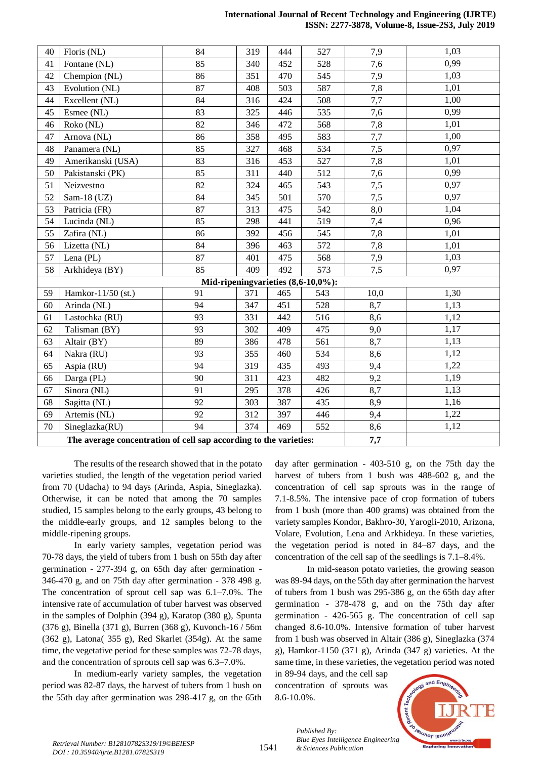#### **International Journal of Recent Technology and Engineering (IJRTE) ISSN: 2277-3878, Volume-8, Issue-2S3, July 2019**

| 40                                 | Floris (NL)                                                       | 84  | 319 | 444 | 527 | 7,9  | 1,03 |  |  |
|------------------------------------|-------------------------------------------------------------------|-----|-----|-----|-----|------|------|--|--|
| 41                                 | Fontane (NL)                                                      | 85  | 340 | 452 | 528 | 7,6  | 0,99 |  |  |
| 42                                 | Chempion (NL)                                                     | 86  | 351 | 470 | 545 | 7,9  | 1,03 |  |  |
| 43                                 | Evolution (NL)                                                    | 87  | 408 | 503 | 587 | 7,8  | 1,01 |  |  |
| 44                                 | Excellent (NL)                                                    | 84  | 316 | 424 | 508 | 7,7  | 1,00 |  |  |
| 45                                 | Esmee (NL)                                                        | 83  | 325 | 446 | 535 | 7,6  | 0,99 |  |  |
| 46                                 | Roko (NL)                                                         | 82  | 346 | 472 | 568 | 7,8  | 1,01 |  |  |
| 47                                 | Arnova (NL)                                                       | 86  | 358 | 495 | 583 | 7,7  | 1,00 |  |  |
| 48                                 | Panamera (NL)                                                     | 85  | 327 | 468 | 534 | 7,5  | 0,97 |  |  |
| 49                                 | Amerikanski (USA)                                                 | 83  | 316 | 453 | 527 | 7,8  | 1,01 |  |  |
| 50                                 | Pakistanski (PK)                                                  | 85  | 311 | 440 | 512 | 7,6  | 0,99 |  |  |
| 51                                 | Neizvestno                                                        | 82  | 324 | 465 | 543 | 7,5  | 0,97 |  |  |
| 52                                 | Sam-18 $(UZ)$                                                     | 84  | 345 | 501 | 570 | 7,5  | 0,97 |  |  |
| 53                                 | Patricia (FR)                                                     | 87  | 313 | 475 | 542 | 8,0  | 1,04 |  |  |
| 54                                 | Lucinda (NL)                                                      | 85  | 298 | 441 | 519 | 7,4  | 0,96 |  |  |
| 55                                 | Zafira (NL)                                                       | 86  | 392 | 456 | 545 | 7,8  | 1,01 |  |  |
| 56                                 | Lizetta (NL)                                                      | 84  | 396 | 463 | 572 | 7,8  | 1,01 |  |  |
| 57                                 | Lena (PL)                                                         | 87  | 401 | 475 | 568 | 7,9  | 1,03 |  |  |
| 58                                 | Arkhideya (BY)                                                    | 85  | 409 | 492 | 573 | 7,5  | 0,97 |  |  |
| Mid-ripeningvarieties (8,6-10,0%): |                                                                   |     |     |     |     |      |      |  |  |
| 59                                 | Hamkor-11/50 (st.)                                                | 91  | 371 | 465 | 543 | 10,0 | 1,30 |  |  |
| 60                                 | Arinda (NL)                                                       | 94  | 347 | 451 | 528 | 8,7  | 1,13 |  |  |
| 61                                 | Lastochka (RU)                                                    | 93  | 331 | 442 | 516 | 8,6  | 1,12 |  |  |
| 62                                 | Talisman (BY)                                                     | 93  | 302 | 409 | 475 | 9,0  | 1,17 |  |  |
| 63                                 | Altair (BY)                                                       | 89  | 386 | 478 | 561 | 8,7  | 1,13 |  |  |
| 64                                 | Nakra (RU)                                                        | 93  | 355 | 460 | 534 | 8,6  | 1,12 |  |  |
| 65                                 | Aspia (RU)                                                        | 94  | 319 | 435 | 493 | 9,4  | 1,22 |  |  |
| 66                                 | Darga (PL)                                                        | 90  | 311 | 423 | 482 | 9,2  | 1,19 |  |  |
| 67                                 | Sinora (NL)                                                       | 91  | 295 | 378 | 426 | 8,7  | 1,13 |  |  |
| 68                                 | Sagitta (NL)                                                      | 92  | 303 | 387 | 435 | 8,9  | 1,16 |  |  |
| 69                                 | Artemis (NL)                                                      | 92  | 312 | 397 | 446 | 9,4  | 1,22 |  |  |
| 70                                 | Sineglazka(RU)                                                    | 94  | 374 | 469 | 552 | 8,6  | 1,12 |  |  |
|                                    | The average concentration of cell sap according to the varieties: | 7,7 |     |     |     |      |      |  |  |

The results of the research showed that in the potato varieties studied, the length of the vegetation period varied from 70 (Udacha) to 94 days (Arinda, Aspia, Sineglazka). Otherwise, it can be noted that among the 70 samples studied, 15 samples belong to the early groups, 43 belong to the middle-early groups, and 12 samples belong to the middle-ripening groups.

In early variety samples, vegetation period was 70-78 days, the yield of tubers from 1 bush on 55th day after germination - 277-394 g, on 65th day after germination - 346-470 g, and on 75th day after germination - 378 498 g. The concentration of sprout cell sap was 6.1–7.0%. The intensive rate of accumulation of tuber harvest was observed in the samples of Dolphin (394 g), Karatop (380 g), Spunta (376 g), Binella (371 g), Burren (368 g), Kuvonch-16 / 56m  $(362 \text{ g})$ , Latona $(355 \text{ g})$ , Red Skarlet  $(354g)$ . At the same time, the vegetative period for these samples was 72-78 days, and the concentration of sprouts cell sap was 6.3–7.0%.

In medium-early variety samples, the vegetation period was 82-87 days, the harvest of tubers from 1 bush on the 55th day after germination was 298-417 g, on the 65th

day after germination - 403-510 g, on the 75th day the harvest of tubers from 1 bush was 488-602 g, and the concentration of cell sap sprouts was in the range of 7.1-8.5%. The intensive pace of crop formation of tubers from 1 bush (more than 400 grams) was obtained from the variety samples Kondor, Bakhro-30, Yarogli-2010, Arizona, Volare, Evolution, Lena and Arkhideya. In these varieties, the vegetation period is noted in 84–87 days, and the concentration of the cell sap of the seedlings is 7.1–8.4%.

In mid-season potato varieties, the growing season was 89-94 days, on the 55th day after germination the harvest of tubers from 1 bush was 295-386 g, on the 65th day after germination - 378-478 g, and on the 75th day after germination - 426-565 g. The concentration of cell sap changed 8.6-10.0%. Intensive formation of tuber harvest from 1 bush was observed in Altair (386 g), Sineglazka (374 g), Hamkor-1150 (371 g), Arinda (347 g) varieties. At the same time, in these varieties, the vegetation period was noted

in 89-94 days, and the cell sap concentration of sprouts was 8.6-10.0%.



1541

*Published By: Blue Eyes Intelligence Engineering*